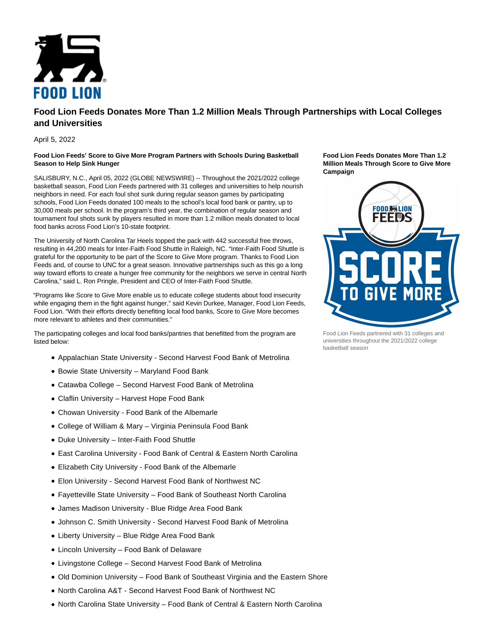

## **Food Lion Feeds Donates More Than 1.2 Million Meals Through Partnerships with Local Colleges and Universities**

April 5, 2022

## **Food Lion Feeds' Score to Give More Program Partners with Schools During Basketball Season to Help Sink Hunger**

SALISBURY, N.C., April 05, 2022 (GLOBE NEWSWIRE) -- Throughout the 2021/2022 college basketball season, Food Lion Feeds partnered with 31 colleges and universities to help nourish neighbors in need. For each foul shot sunk during regular season games by participating schools, Food Lion Feeds donated 100 meals to the school's local food bank or pantry, up to 30,000 meals per school. In the program's third year, the combination of regular season and tournament foul shots sunk by players resulted in more than 1.2 million meals donated to local food banks across Food Lion's 10-state footprint.

The University of North Carolina Tar Heels topped the pack with 442 successful free throws, resulting in 44,200 meals for Inter-Faith Food Shuttle in Raleigh, NC. "Inter-Faith Food Shuttle is grateful for the opportunity to be part of the Score to Give More program. Thanks to Food Lion Feeds and, of course to UNC for a great season. Innovative partnerships such as this go a long way toward efforts to create a hunger free community for the neighbors we serve in central North Carolina," said L. Ron Pringle, President and CEO of Inter-Faith Food Shuttle.

"Programs like Score to Give More enable us to educate college students about food insecurity while engaging them in the fight against hunger," said Kevin Durkee, Manager, Food Lion Feeds, Food Lion. "With their efforts directly benefiting local food banks, Score to Give More becomes more relevant to athletes and their communities."

The participating colleges and local food banks/pantries that benefitted from the program are listed below:

- Appalachian State University Second Harvest Food Bank of Metrolina
- Bowie State University Maryland Food Bank
- Catawba College Second Harvest Food Bank of Metrolina
- Claflin University Harvest Hope Food Bank
- Chowan University Food Bank of the Albemarle
- College of William & Mary Virginia Peninsula Food Bank
- Duke University Inter-Faith Food Shuttle
- East Carolina University Food Bank of Central & Eastern North Carolina
- Elizabeth City University Food Bank of the Albemarle
- Elon University Second Harvest Food Bank of Northwest NC
- Fayetteville State University Food Bank of Southeast North Carolina
- James Madison University Blue Ridge Area Food Bank
- Johnson C. Smith University Second Harvest Food Bank of Metrolina
- Liberty University Blue Ridge Area Food Bank
- Lincoln University Food Bank of Delaware
- Livingstone College Second Harvest Food Bank of Metrolina
- Old Dominion University Food Bank of Southeast Virginia and the Eastern Shore
- North Carolina A&T Second Harvest Food Bank of Northwest NC
- North Carolina State University Food Bank of Central & Eastern North Carolina

**Food Lion Feeds Donates More Than 1.2 Million Meals Through Score to Give More Campaign**



Food Lion Feeds partnered with 31 colleges and universities throughout the 2021/2022 college basketball season